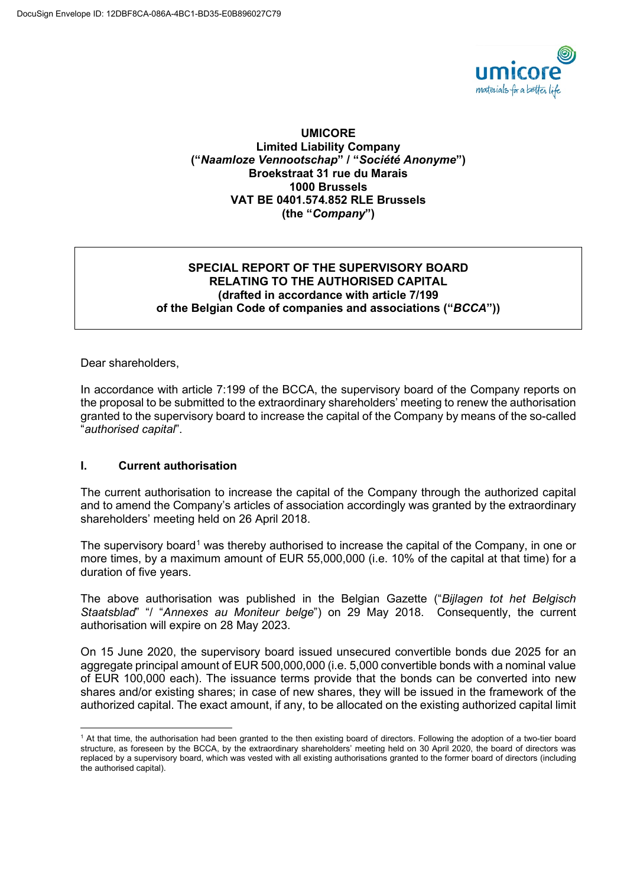

#### **UMICORE Limited Liability Company ("***Naamloze Vennootschap***" / "***Société Anonyme***") Broekstraat 31 rue du Marais 1000 Brussels VAT BE 0401.574.852 RLE Brussels (the "***Company***")**

## **SPECIAL REPORT OF THE SUPERVISORY BOARD RELATING TO THE AUTHORISED CAPITAL (drafted in accordance with article 7/199 of the Belgian Code of companies and associations ("***BCCA***"))**

Dear shareholders,

In accordance with article 7:199 of the BCCA, the supervisory board of the Company reports on the proposal to be submitted to the extraordinary shareholders' meeting to renew the authorisation granted to the supervisory board to increase the capital of the Company by means of the so-called "*authorised capital*".

## **I. Current authorisation**

The current authorisation to increase the capital of the Company through the authorized capital and to amend the Company's articles of association accordingly was granted by the extraordinary shareholders' meeting held on 26 April 2018.

The supervisory board<sup>[1](#page-0-0)</sup> was thereby authorised to increase the capital of the Company, in one or more times, by a maximum amount of EUR 55,000,000 (i.e. 10% of the capital at that time) for a duration of five years.

The above authorisation was published in the Belgian Gazette ("*Bijlagen tot het Belgisch Staatsblad*" "/ "*Annexes au Moniteur belge*") on 29 May 2018. Consequently, the current authorisation will expire on 28 May 2023.

On 15 June 2020, the supervisory board issued unsecured convertible bonds due 2025 for an aggregate principal amount of EUR 500,000,000 (i.e. 5,000 convertible bonds with a nominal value of EUR 100,000 each). The issuance terms provide that the bonds can be converted into new shares and/or existing shares; in case of new shares, they will be issued in the framework of the authorized capital. The exact amount, if any, to be allocated on the existing authorized capital limit

<span id="page-0-0"></span><sup>1</sup> At that time, the authorisation had been granted to the then existing board of directors. Following the adoption of a two-tier board structure, as foreseen by the BCCA, by the extraordinary shareholders' meeting held on 30 April 2020, the board of directors was replaced by a supervisory board, which was vested with all existing authorisations granted to the former board of directors (including the authorised capital).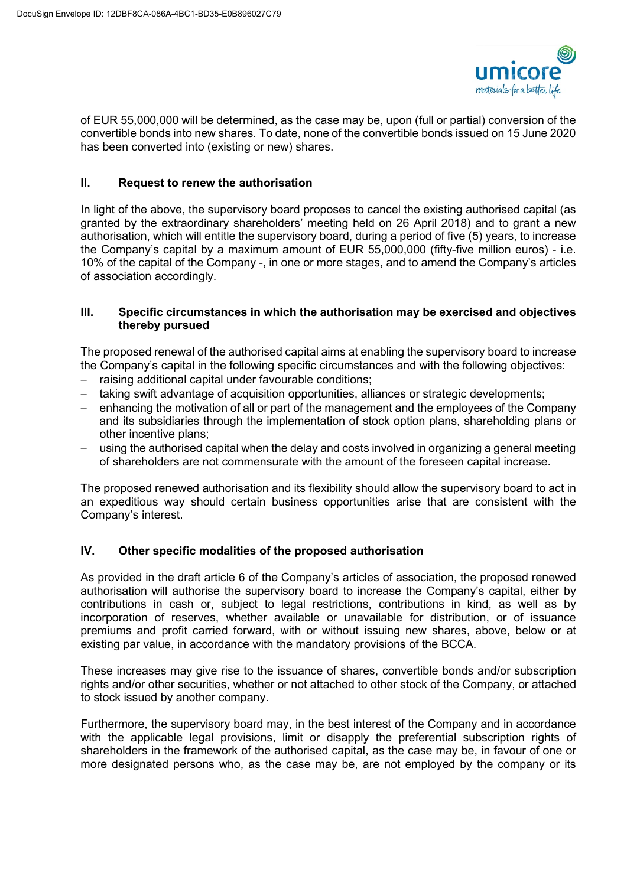

of EUR 55,000,000 will be determined, as the case may be, upon (full or partial) conversion of the convertible bonds into new shares. To date, none of the convertible bonds issued on 15 June 2020 has been converted into (existing or new) shares.

# **II. Request to renew the authorisation**

In light of the above, the supervisory board proposes to cancel the existing authorised capital (as granted by the extraordinary shareholders' meeting held on 26 April 2018) and to grant a new authorisation, which will entitle the supervisory board, during a period of five (5) years, to increase the Company's capital by a maximum amount of EUR 55,000,000 (fifty-five million euros) - i.e. 10% of the capital of the Company -, in one or more stages, and to amend the Company's articles of association accordingly.

### **III. Specific circumstances in which the authorisation may be exercised and objectives thereby pursued**

The proposed renewal of the authorised capital aims at enabling the supervisory board to increase the Company's capital in the following specific circumstances and with the following objectives:

- − raising additional capital under favourable conditions;
- − taking swift advantage of acquisition opportunities, alliances or strategic developments;
- enhancing the motivation of all or part of the management and the employees of the Company and its subsidiaries through the implementation of stock option plans, shareholding plans or other incentive plans;
- using the authorised capital when the delay and costs involved in organizing a general meeting of shareholders are not commensurate with the amount of the foreseen capital increase.

The proposed renewed authorisation and its flexibility should allow the supervisory board to act in an expeditious way should certain business opportunities arise that are consistent with the Company's interest.

## **IV. Other specific modalities of the proposed authorisation**

As provided in the draft article 6 of the Company's articles of association, the proposed renewed authorisation will authorise the supervisory board to increase the Company's capital, either by contributions in cash or, subject to legal restrictions, contributions in kind, as well as by incorporation of reserves, whether available or unavailable for distribution, or of issuance premiums and profit carried forward, with or without issuing new shares, above, below or at existing par value, in accordance with the mandatory provisions of the BCCA.

These increases may give rise to the issuance of shares, convertible bonds and/or subscription rights and/or other securities, whether or not attached to other stock of the Company, or attached to stock issued by another company.

Furthermore, the supervisory board may, in the best interest of the Company and in accordance with the applicable legal provisions, limit or disapply the preferential subscription rights of shareholders in the framework of the authorised capital, as the case may be, in favour of one or more designated persons who, as the case may be, are not employed by the company or its